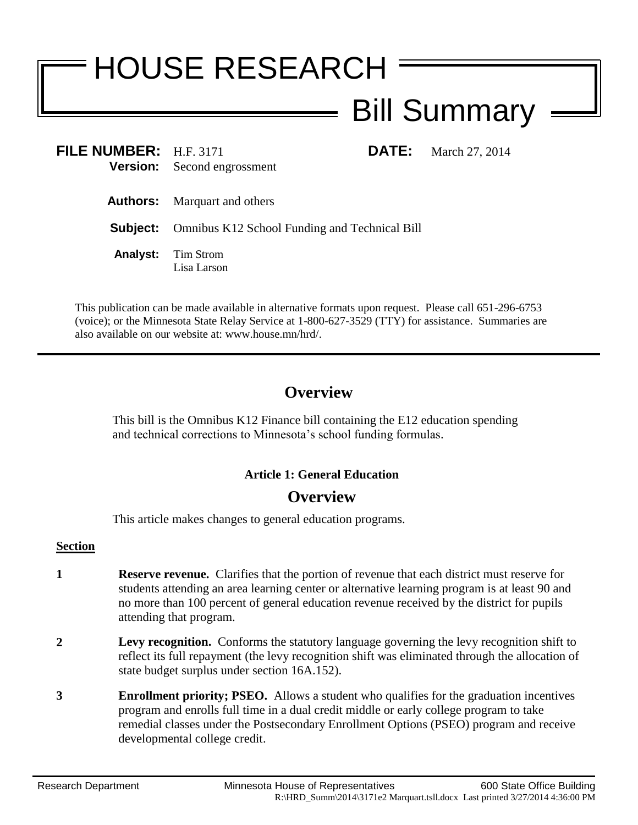# HOUSE RESEARCH Bill Summary

**FILE NUMBER:** H.F. 3171 **DATE:** March 27, 2014 **Version:** Second engrossment

**Authors:** Marquart and others

**Subject:** Omnibus K12 School Funding and Technical Bill

**Analyst:** Tim Strom Lisa Larson

This publication can be made available in alternative formats upon request. Please call 651-296-6753 (voice); or the Minnesota State Relay Service at 1-800-627-3529 (TTY) for assistance. Summaries are also available on our website at: www.house.mn/hrd/.

# **Overview**

This bill is the Omnibus K12 Finance bill containing the E12 education spending and technical corrections to Minnesota's school funding formulas.

### **Article 1: General Education**

# **Overview**

This article makes changes to general education programs.

#### **Section**

- **1 Reserve revenue.** Clarifies that the portion of revenue that each district must reserve for students attending an area learning center or alternative learning program is at least 90 and no more than 100 percent of general education revenue received by the district for pupils attending that program.
- **2 Levy recognition.** Conforms the statutory language governing the levy recognition shift to reflect its full repayment (the levy recognition shift was eliminated through the allocation of state budget surplus under section 16A.152).
- **3 Enrollment priority; PSEO.** Allows a student who qualifies for the graduation incentives program and enrolls full time in a dual credit middle or early college program to take remedial classes under the Postsecondary Enrollment Options (PSEO) program and receive developmental college credit.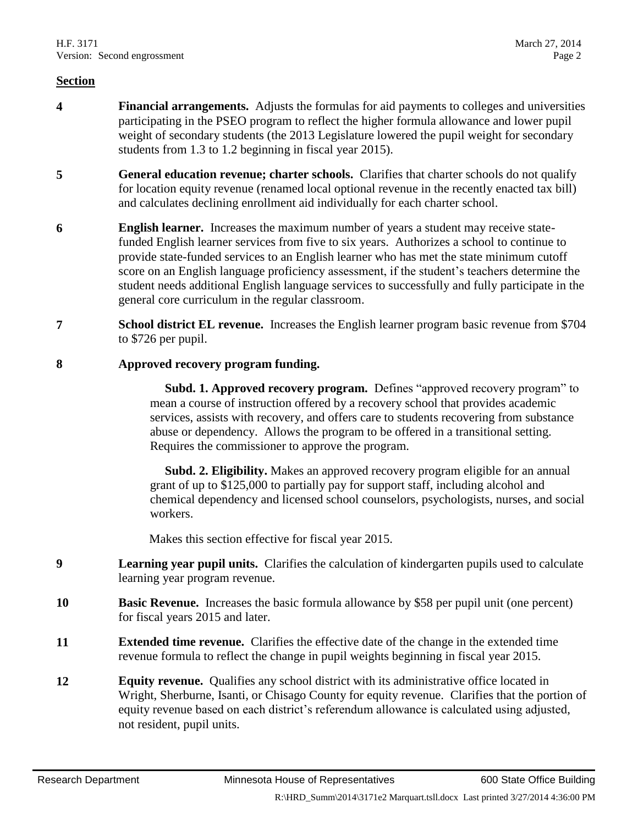- **4 Financial arrangements.** Adjusts the formulas for aid payments to colleges and universities participating in the PSEO program to reflect the higher formula allowance and lower pupil weight of secondary students (the 2013 Legislature lowered the pupil weight for secondary students from 1.3 to 1.2 beginning in fiscal year 2015).
- **5 General education revenue; charter schools.** Clarifies that charter schools do not qualify for location equity revenue (renamed local optional revenue in the recently enacted tax bill) and calculates declining enrollment aid individually for each charter school.
- **6 English learner.** Increases the maximum number of years a student may receive statefunded English learner services from five to six years. Authorizes a school to continue to provide state-funded services to an English learner who has met the state minimum cutoff score on an English language proficiency assessment, if the student's teachers determine the student needs additional English language services to successfully and fully participate in the general core curriculum in the regular classroom.
- **7 School district EL revenue.** Increases the English learner program basic revenue from \$704 to \$726 per pupil.

#### **8 Approved recovery program funding.**

 **Subd. 1. Approved recovery program.** Defines "approved recovery program" to mean a course of instruction offered by a recovery school that provides academic services, assists with recovery, and offers care to students recovering from substance abuse or dependency. Allows the program to be offered in a transitional setting. Requires the commissioner to approve the program.

 **Subd. 2. Eligibility.** Makes an approved recovery program eligible for an annual grant of up to \$125,000 to partially pay for support staff, including alcohol and chemical dependency and licensed school counselors, psychologists, nurses, and social workers.

Makes this section effective for fiscal year 2015.

- **9 Learning year pupil units.** Clarifies the calculation of kindergarten pupils used to calculate learning year program revenue.
- **10 Basic Revenue.** Increases the basic formula allowance by \$58 per pupil unit (one percent) for fiscal years 2015 and later.
- **11 Extended time revenue.** Clarifies the effective date of the change in the extended time revenue formula to reflect the change in pupil weights beginning in fiscal year 2015.
- **12 Equity revenue.** Qualifies any school district with its administrative office located in Wright, Sherburne, Isanti, or Chisago County for equity revenue. Clarifies that the portion of equity revenue based on each district's referendum allowance is calculated using adjusted, not resident, pupil units.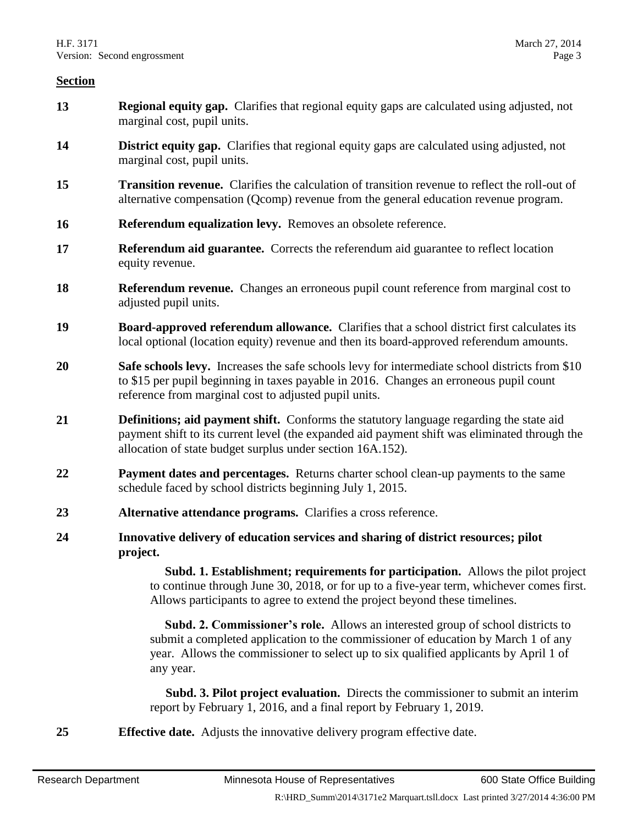- **13 Regional equity gap.** Clarifies that regional equity gaps are calculated using adjusted, not marginal cost, pupil units.
- **14 District equity gap.** Clarifies that regional equity gaps are calculated using adjusted, not marginal cost, pupil units.
- **15 Transition revenue.** Clarifies the calculation of transition revenue to reflect the roll-out of alternative compensation (Qcomp) revenue from the general education revenue program.
- **16 Referendum equalization levy.** Removes an obsolete reference.
- **17 Referendum aid guarantee.** Corrects the referendum aid guarantee to reflect location equity revenue.
- **18 Referendum revenue.** Changes an erroneous pupil count reference from marginal cost to adjusted pupil units.
- **19 Board-approved referendum allowance.** Clarifies that a school district first calculates its local optional (location equity) revenue and then its board-approved referendum amounts.
- **20 Safe schools levy.** Increases the safe schools levy for intermediate school districts from \$10 to \$15 per pupil beginning in taxes payable in 2016. Changes an erroneous pupil count reference from marginal cost to adjusted pupil units.
- **21 Definitions; aid payment shift.** Conforms the statutory language regarding the state aid payment shift to its current level (the expanded aid payment shift was eliminated through the allocation of state budget surplus under section 16A.152).
- **22 Payment dates and percentages.** Returns charter school clean-up payments to the same schedule faced by school districts beginning July 1, 2015.
- **23 Alternative attendance programs.** Clarifies a cross reference.
- **24 Innovative delivery of education services and sharing of district resources; pilot project.**

 **Subd. 1. Establishment; requirements for participation.** Allows the pilot project to continue through June 30, 2018, or for up to a five-year term, whichever comes first. Allows participants to agree to extend the project beyond these timelines.

 **Subd. 2. Commissioner's role.** Allows an interested group of school districts to submit a completed application to the commissioner of education by March 1 of any year. Allows the commissioner to select up to six qualified applicants by April 1 of any year.

 **Subd. 3. Pilot project evaluation.** Directs the commissioner to submit an interim report by February 1, 2016, and a final report by February 1, 2019.

**25 Effective date.** Adjusts the innovative delivery program effective date.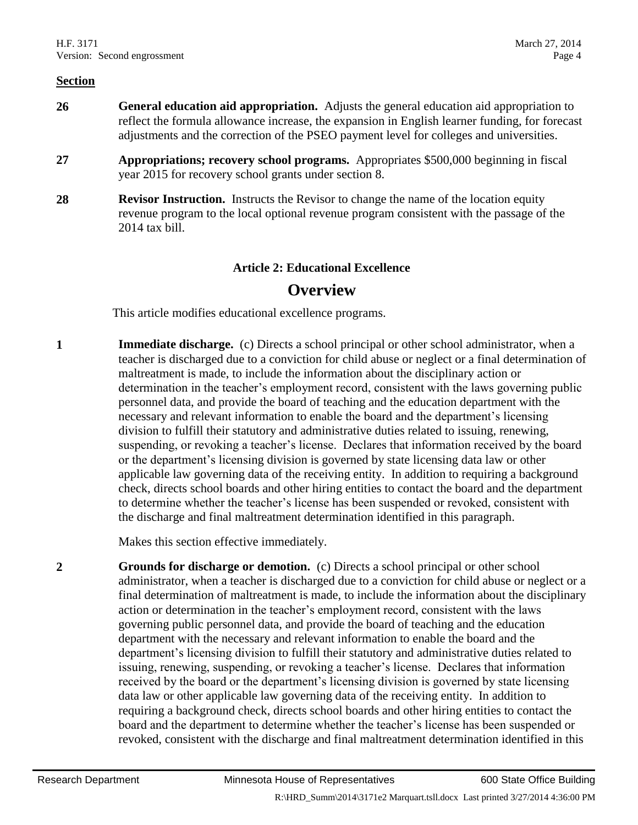- **26 General education aid appropriation.** Adjusts the general education aid appropriation to reflect the formula allowance increase, the expansion in English learner funding, for forecast adjustments and the correction of the PSEO payment level for colleges and universities.
- **27 Appropriations; recovery school programs.** Appropriates \$500,000 beginning in fiscal year 2015 for recovery school grants under section 8.
- **28 Revisor Instruction.** Instructs the Revisor to change the name of the location equity revenue program to the local optional revenue program consistent with the passage of the 2014 tax bill.

#### **Article 2: Educational Excellence**

# **Overview**

This article modifies educational excellence programs.

**1 Immediate discharge.** (c) Directs a school principal or other school administrator, when a teacher is discharged due to a conviction for child abuse or neglect or a final determination of maltreatment is made, to include the information about the disciplinary action or determination in the teacher's employment record, consistent with the laws governing public personnel data, and provide the board of teaching and the education department with the necessary and relevant information to enable the board and the department's licensing division to fulfill their statutory and administrative duties related to issuing, renewing, suspending, or revoking a teacher's license. Declares that information received by the board or the department's licensing division is governed by state licensing data law or other applicable law governing data of the receiving entity. In addition to requiring a background check, directs school boards and other hiring entities to contact the board and the department to determine whether the teacher's license has been suspended or revoked, consistent with the discharge and final maltreatment determination identified in this paragraph.

Makes this section effective immediately.

**2 Grounds for discharge or demotion.** (c) Directs a school principal or other school administrator, when a teacher is discharged due to a conviction for child abuse or neglect or a final determination of maltreatment is made, to include the information about the disciplinary action or determination in the teacher's employment record, consistent with the laws governing public personnel data, and provide the board of teaching and the education department with the necessary and relevant information to enable the board and the department's licensing division to fulfill their statutory and administrative duties related to issuing, renewing, suspending, or revoking a teacher's license. Declares that information received by the board or the department's licensing division is governed by state licensing data law or other applicable law governing data of the receiving entity. In addition to requiring a background check, directs school boards and other hiring entities to contact the board and the department to determine whether the teacher's license has been suspended or revoked, consistent with the discharge and final maltreatment determination identified in this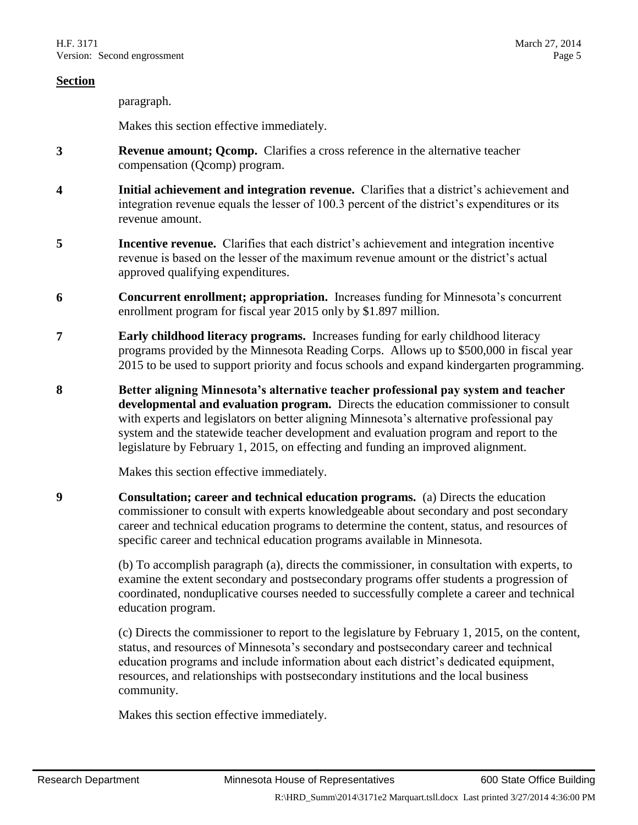paragraph.

Makes this section effective immediately.

- **3 Revenue amount; Qcomp.** Clarifies a cross reference in the alternative teacher compensation (Qcomp) program.
- **4 Initial achievement and integration revenue.** Clarifies that a district's achievement and integration revenue equals the lesser of 100.3 percent of the district's expenditures or its revenue amount.
- **5 Incentive revenue.** Clarifies that each district's achievement and integration incentive revenue is based on the lesser of the maximum revenue amount or the district's actual approved qualifying expenditures.
- **6 Concurrent enrollment; appropriation.** Increases funding for Minnesota's concurrent enrollment program for fiscal year 2015 only by \$1.897 million.
- **7 Early childhood literacy programs.** Increases funding for early childhood literacy programs provided by the Minnesota Reading Corps. Allows up to \$500,000 in fiscal year 2015 to be used to support priority and focus schools and expand kindergarten programming.
- **8 Better aligning Minnesota's alternative teacher professional pay system and teacher developmental and evaluation program.** Directs the education commissioner to consult with experts and legislators on better aligning Minnesota's alternative professional pay system and the statewide teacher development and evaluation program and report to the legislature by February 1, 2015, on effecting and funding an improved alignment.

Makes this section effective immediately.

**9 Consultation; career and technical education programs.** (a) Directs the education commissioner to consult with experts knowledgeable about secondary and post secondary career and technical education programs to determine the content, status, and resources of specific career and technical education programs available in Minnesota.

> (b) To accomplish paragraph (a), directs the commissioner, in consultation with experts, to examine the extent secondary and postsecondary programs offer students a progression of coordinated, nonduplicative courses needed to successfully complete a career and technical education program.

(c) Directs the commissioner to report to the legislature by February 1, 2015, on the content, status, and resources of Minnesota's secondary and postsecondary career and technical education programs and include information about each district's dedicated equipment, resources, and relationships with postsecondary institutions and the local business community.

Makes this section effective immediately.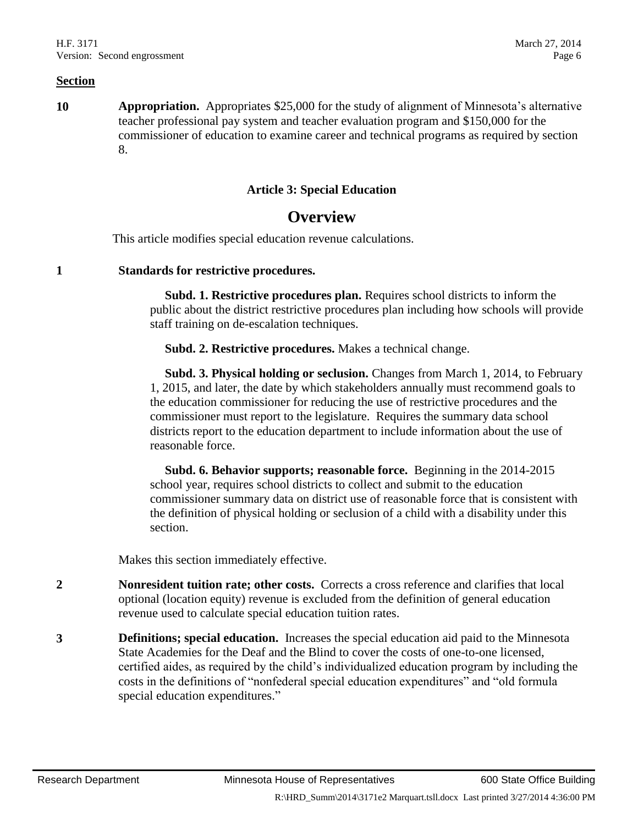**10 Appropriation.** Appropriates \$25,000 for the study of alignment of Minnesota's alternative teacher professional pay system and teacher evaluation program and \$150,000 for the commissioner of education to examine career and technical programs as required by section 8.

#### **Article 3: Special Education**

# **Overview**

This article modifies special education revenue calculations.

**1 Standards for restrictive procedures.**

 **Subd. 1. Restrictive procedures plan.** Requires school districts to inform the public about the district restrictive procedures plan including how schools will provide staff training on de-escalation techniques.

**Subd. 2. Restrictive procedures.** Makes a technical change.

 **Subd. 3. Physical holding or seclusion.** Changes from March 1, 2014, to February 1, 2015, and later, the date by which stakeholders annually must recommend goals to the education commissioner for reducing the use of restrictive procedures and the commissioner must report to the legislature. Requires the summary data school districts report to the education department to include information about the use of reasonable force.

 **Subd. 6. Behavior supports; reasonable force.** Beginning in the 2014-2015 school year, requires school districts to collect and submit to the education commissioner summary data on district use of reasonable force that is consistent with the definition of physical holding or seclusion of a child with a disability under this section.

Makes this section immediately effective.

- **2 Nonresident tuition rate; other costs.** Corrects a cross reference and clarifies that local optional (location equity) revenue is excluded from the definition of general education revenue used to calculate special education tuition rates.
- **3 Definitions; special education.** Increases the special education aid paid to the Minnesota State Academies for the Deaf and the Blind to cover the costs of one-to-one licensed, certified aides, as required by the child's individualized education program by including the costs in the definitions of "nonfederal special education expenditures" and "old formula special education expenditures."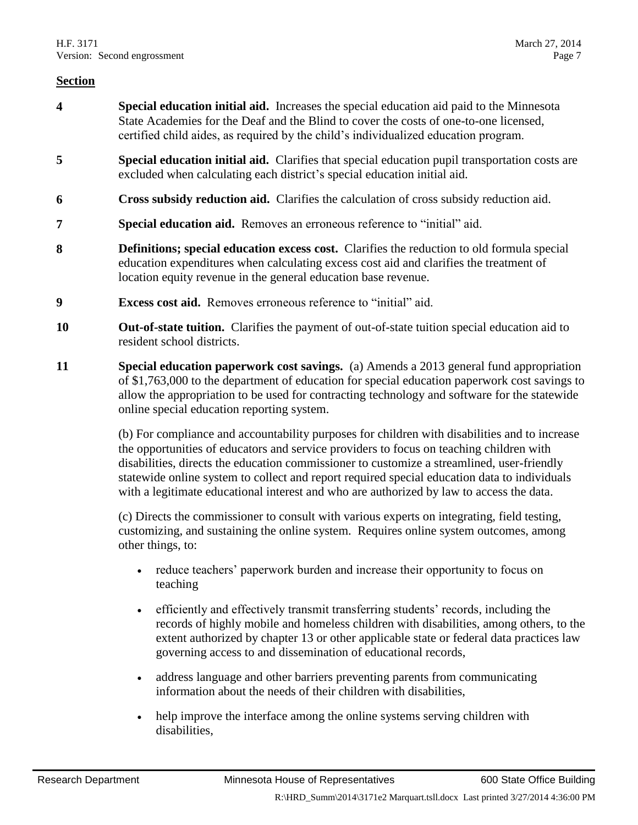- **4 Special education initial aid.** Increases the special education aid paid to the Minnesota State Academies for the Deaf and the Blind to cover the costs of one-to-one licensed, certified child aides, as required by the child's individualized education program.
- **5 Special education initial aid.** Clarifies that special education pupil transportation costs are excluded when calculating each district's special education initial aid.
- **6 Cross subsidy reduction aid.** Clarifies the calculation of cross subsidy reduction aid.
- **7 Special education aid.** Removes an erroneous reference to "initial" aid.
- **8 Definitions; special education excess cost.** Clarifies the reduction to old formula special education expenditures when calculating excess cost aid and clarifies the treatment of location equity revenue in the general education base revenue.
- **9 Excess cost aid.** Removes erroneous reference to "initial" aid.
- **10 Out-of-state tuition.** Clarifies the payment of out-of-state tuition special education aid to resident school districts.
- **11 Special education paperwork cost savings.** (a) Amends a 2013 general fund appropriation of \$1,763,000 to the department of education for special education paperwork cost savings to allow the appropriation to be used for contracting technology and software for the statewide online special education reporting system.

(b) For compliance and accountability purposes for children with disabilities and to increase the opportunities of educators and service providers to focus on teaching children with disabilities, directs the education commissioner to customize a streamlined, user-friendly statewide online system to collect and report required special education data to individuals with a legitimate educational interest and who are authorized by law to access the data.

(c) Directs the commissioner to consult with various experts on integrating, field testing, customizing, and sustaining the online system. Requires online system outcomes, among other things, to:

- reduce teachers' paperwork burden and increase their opportunity to focus on teaching
- efficiently and effectively transmit transferring students' records, including the records of highly mobile and homeless children with disabilities, among others, to the extent authorized by chapter 13 or other applicable state or federal data practices law governing access to and dissemination of educational records,
- address language and other barriers preventing parents from communicating information about the needs of their children with disabilities,
- help improve the interface among the online systems serving children with disabilities,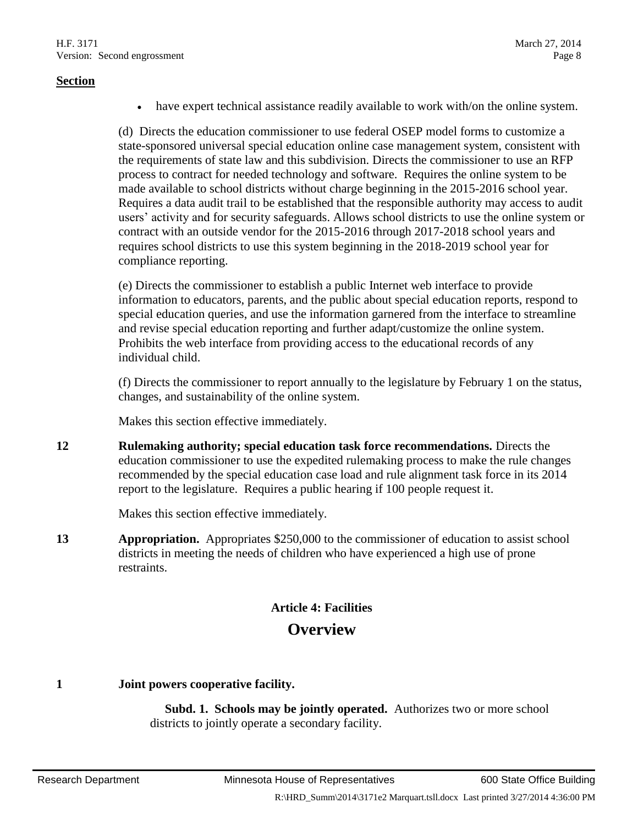have expert technical assistance readily available to work with/on the online system.

(d) Directs the education commissioner to use federal OSEP model forms to customize a state-sponsored universal special education online case management system, consistent with the requirements of state law and this subdivision. Directs the commissioner to use an RFP process to contract for needed technology and software. Requires the online system to be made available to school districts without charge beginning in the 2015-2016 school year. Requires a data audit trail to be established that the responsible authority may access to audit users' activity and for security safeguards. Allows school districts to use the online system or contract with an outside vendor for the 2015-2016 through 2017-2018 school years and requires school districts to use this system beginning in the 2018-2019 school year for compliance reporting.

(e) Directs the commissioner to establish a public Internet web interface to provide information to educators, parents, and the public about special education reports, respond to special education queries, and use the information garnered from the interface to streamline and revise special education reporting and further adapt/customize the online system. Prohibits the web interface from providing access to the educational records of any individual child.

(f) Directs the commissioner to report annually to the legislature by February 1 on the status, changes, and sustainability of the online system.

Makes this section effective immediately.

**12 Rulemaking authority; special education task force recommendations.** Directs the education commissioner to use the expedited rulemaking process to make the rule changes recommended by the special education case load and rule alignment task force in its 2014 report to the legislature. Requires a public hearing if 100 people request it.

Makes this section effective immediately.

**13 Appropriation.** Appropriates \$250,000 to the commissioner of education to assist school districts in meeting the needs of children who have experienced a high use of prone restraints.

# **Article 4: Facilities Overview**

**1 Joint powers cooperative facility.**

 **Subd. 1. Schools may be jointly operated.** Authorizes two or more school districts to jointly operate a secondary facility.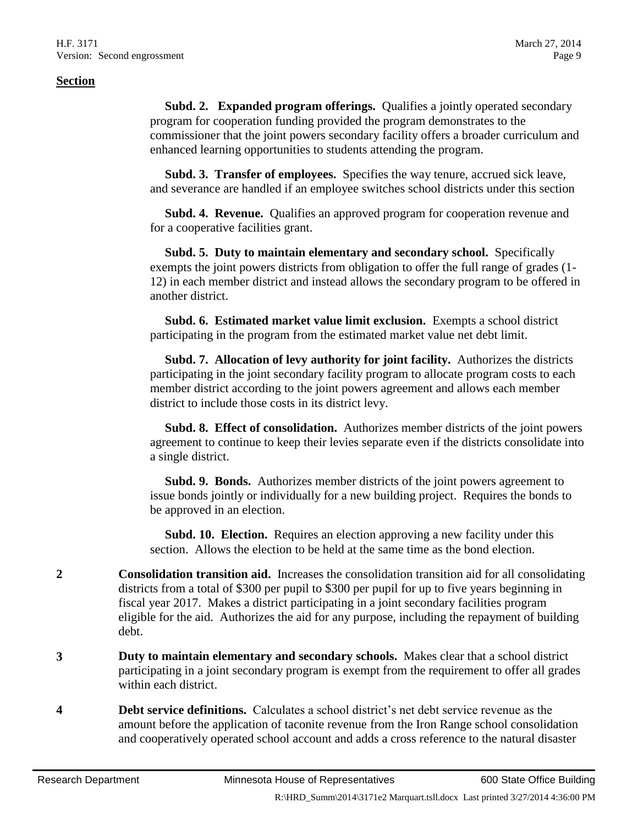**Subd. 2. Expanded program offerings.** Qualifies a jointly operated secondary program for cooperation funding provided the program demonstrates to the commissioner that the joint powers secondary facility offers a broader curriculum and enhanced learning opportunities to students attending the program.

 **Subd. 3. Transfer of employees.** Specifies the way tenure, accrued sick leave, and severance are handled if an employee switches school districts under this section

 **Subd. 4. Revenue.** Qualifies an approved program for cooperation revenue and for a cooperative facilities grant.

 **Subd. 5. Duty to maintain elementary and secondary school.** Specifically exempts the joint powers districts from obligation to offer the full range of grades (1- 12) in each member district and instead allows the secondary program to be offered in another district.

 **Subd. 6. Estimated market value limit exclusion.** Exempts a school district participating in the program from the estimated market value net debt limit.

 **Subd. 7. Allocation of levy authority for joint facility.** Authorizes the districts participating in the joint secondary facility program to allocate program costs to each member district according to the joint powers agreement and allows each member district to include those costs in its district levy.

 **Subd. 8. Effect of consolidation.** Authorizes member districts of the joint powers agreement to continue to keep their levies separate even if the districts consolidate into a single district.

 **Subd. 9. Bonds.** Authorizes member districts of the joint powers agreement to issue bonds jointly or individually for a new building project. Requires the bonds to be approved in an election.

 **Subd. 10. Election.** Requires an election approving a new facility under this section. Allows the election to be held at the same time as the bond election.

- **2 Consolidation transition aid.** Increases the consolidation transition aid for all consolidating districts from a total of \$300 per pupil to \$300 per pupil for up to five years beginning in fiscal year 2017. Makes a district participating in a joint secondary facilities program eligible for the aid. Authorizes the aid for any purpose, including the repayment of building debt.
- **3 Duty to maintain elementary and secondary schools.** Makes clear that a school district participating in a joint secondary program is exempt from the requirement to offer all grades within each district.
- **4 Debt service definitions.** Calculates a school district's net debt service revenue as the amount before the application of taconite revenue from the Iron Range school consolidation and cooperatively operated school account and adds a cross reference to the natural disaster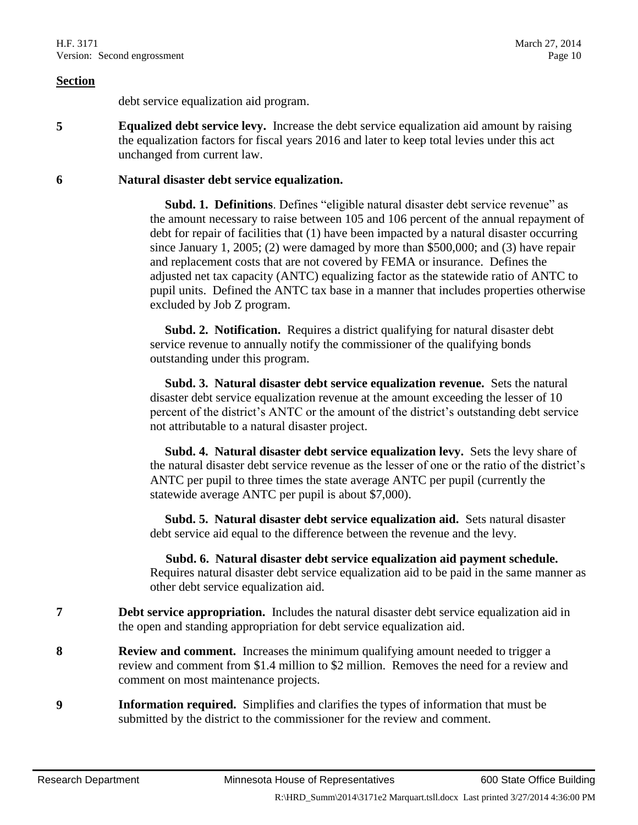debt service equalization aid program.

**5 Equalized debt service levy.** Increase the debt service equalization aid amount by raising the equalization factors for fiscal years 2016 and later to keep total levies under this act unchanged from current law.

#### **6 Natural disaster debt service equalization.**

 **Subd. 1. Definitions**. Defines "eligible natural disaster debt service revenue" as the amount necessary to raise between 105 and 106 percent of the annual repayment of debt for repair of facilities that (1) have been impacted by a natural disaster occurring since January 1, 2005; (2) were damaged by more than \$500,000; and (3) have repair and replacement costs that are not covered by FEMA or insurance. Defines the adjusted net tax capacity (ANTC) equalizing factor as the statewide ratio of ANTC to pupil units. Defined the ANTC tax base in a manner that includes properties otherwise excluded by Job Z program.

 **Subd. 2. Notification.** Requires a district qualifying for natural disaster debt service revenue to annually notify the commissioner of the qualifying bonds outstanding under this program.

 **Subd. 3. Natural disaster debt service equalization revenue.** Sets the natural disaster debt service equalization revenue at the amount exceeding the lesser of 10 percent of the district's ANTC or the amount of the district's outstanding debt service not attributable to a natural disaster project.

 **Subd. 4. Natural disaster debt service equalization levy.** Sets the levy share of the natural disaster debt service revenue as the lesser of one or the ratio of the district's ANTC per pupil to three times the state average ANTC per pupil (currently the statewide average ANTC per pupil is about \$7,000).

 **Subd. 5. Natural disaster debt service equalization aid.** Sets natural disaster debt service aid equal to the difference between the revenue and the levy.

 **Subd. 6. Natural disaster debt service equalization aid payment schedule.** Requires natural disaster debt service equalization aid to be paid in the same manner as other debt service equalization aid.

- **7 Debt service appropriation.** Includes the natural disaster debt service equalization aid in the open and standing appropriation for debt service equalization aid.
- **8 Review and comment.** Increases the minimum qualifying amount needed to trigger a review and comment from \$1.4 million to \$2 million. Removes the need for a review and comment on most maintenance projects.
- **9 Information required.** Simplifies and clarifies the types of information that must be submitted by the district to the commissioner for the review and comment.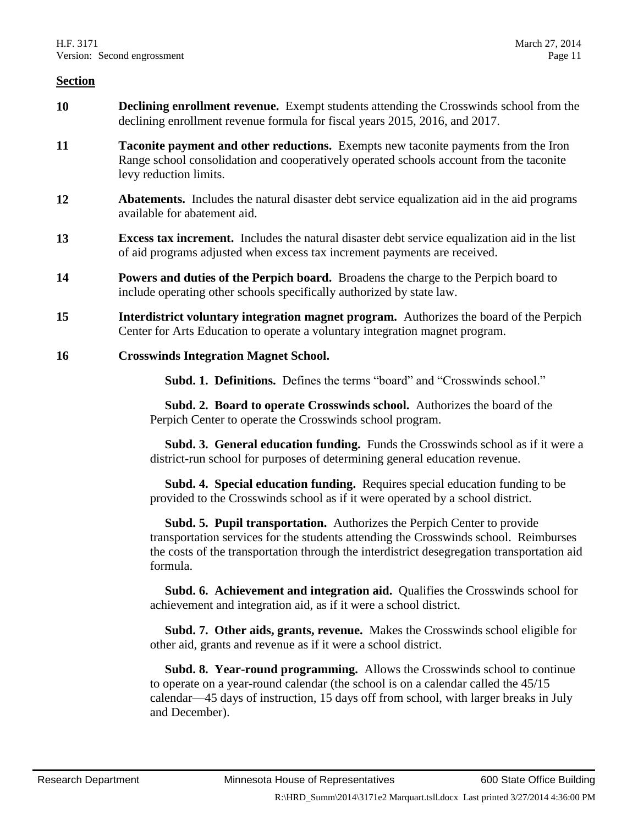- **10 Declining enrollment revenue.** Exempt students attending the Crosswinds school from the declining enrollment revenue formula for fiscal years 2015, 2016, and 2017.
- **11 Taconite payment and other reductions.** Exempts new taconite payments from the Iron Range school consolidation and cooperatively operated schools account from the taconite levy reduction limits.
- **12 Abatements.** Includes the natural disaster debt service equalization aid in the aid programs available for abatement aid.
- **13 Excess tax increment.** Includes the natural disaster debt service equalization aid in the list of aid programs adjusted when excess tax increment payments are received.
- **14 Powers and duties of the Perpich board.** Broadens the charge to the Perpich board to include operating other schools specifically authorized by state law.
- **15 Interdistrict voluntary integration magnet program.** Authorizes the board of the Perpich Center for Arts Education to operate a voluntary integration magnet program.
- **16 Crosswinds Integration Magnet School.**

**Subd. 1. Definitions.** Defines the terms "board" and "Crosswinds school."

 **Subd. 2. Board to operate Crosswinds school.** Authorizes the board of the Perpich Center to operate the Crosswinds school program.

 **Subd. 3. General education funding.** Funds the Crosswinds school as if it were a district-run school for purposes of determining general education revenue.

 **Subd. 4. Special education funding.** Requires special education funding to be provided to the Crosswinds school as if it were operated by a school district.

 **Subd. 5. Pupil transportation.** Authorizes the Perpich Center to provide transportation services for the students attending the Crosswinds school. Reimburses the costs of the transportation through the interdistrict desegregation transportation aid formula.

 **Subd. 6. Achievement and integration aid.** Qualifies the Crosswinds school for achievement and integration aid, as if it were a school district.

 **Subd. 7. Other aids, grants, revenue.** Makes the Crosswinds school eligible for other aid, grants and revenue as if it were a school district.

 **Subd. 8. Year-round programming.** Allows the Crosswinds school to continue to operate on a year-round calendar (the school is on a calendar called the 45/15 calendar—45 days of instruction, 15 days off from school, with larger breaks in July and December).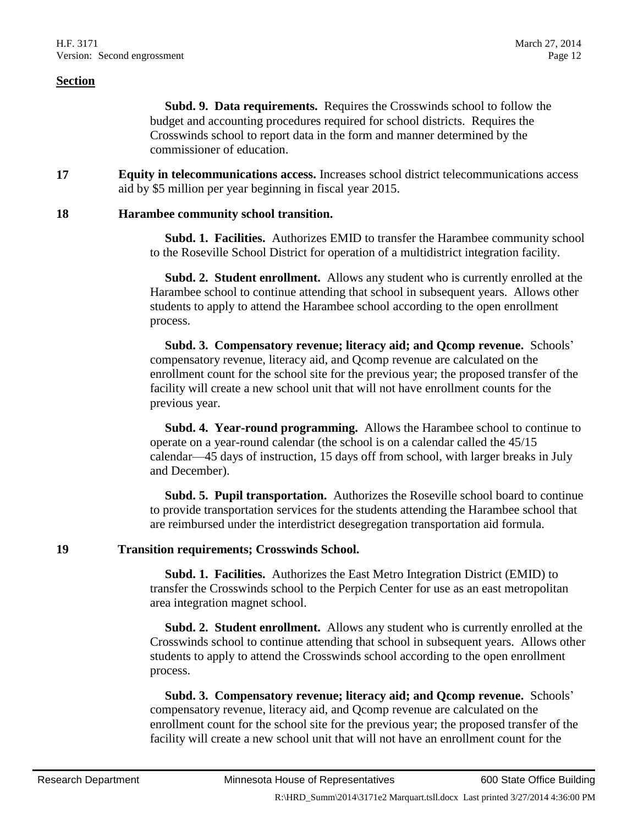**Subd. 9. Data requirements.** Requires the Crosswinds school to follow the budget and accounting procedures required for school districts. Requires the Crosswinds school to report data in the form and manner determined by the commissioner of education.

**17 Equity in telecommunications access.** Increases school district telecommunications access aid by \$5 million per year beginning in fiscal year 2015.

#### **18 Harambee community school transition.**

 **Subd. 1. Facilities.** Authorizes EMID to transfer the Harambee community school to the Roseville School District for operation of a multidistrict integration facility.

 **Subd. 2. Student enrollment.** Allows any student who is currently enrolled at the Harambee school to continue attending that school in subsequent years. Allows other students to apply to attend the Harambee school according to the open enrollment process.

 **Subd. 3. Compensatory revenue; literacy aid; and Qcomp revenue.** Schools' compensatory revenue, literacy aid, and Qcomp revenue are calculated on the enrollment count for the school site for the previous year; the proposed transfer of the facility will create a new school unit that will not have enrollment counts for the previous year.

 **Subd. 4. Year-round programming.** Allows the Harambee school to continue to operate on a year-round calendar (the school is on a calendar called the 45/15 calendar—45 days of instruction, 15 days off from school, with larger breaks in July and December).

 **Subd. 5. Pupil transportation.** Authorizes the Roseville school board to continue to provide transportation services for the students attending the Harambee school that are reimbursed under the interdistrict desegregation transportation aid formula.

#### **19 Transition requirements; Crosswinds School.**

 **Subd. 1. Facilities.** Authorizes the East Metro Integration District (EMID) to transfer the Crosswinds school to the Perpich Center for use as an east metropolitan area integration magnet school.

 **Subd. 2. Student enrollment.** Allows any student who is currently enrolled at the Crosswinds school to continue attending that school in subsequent years. Allows other students to apply to attend the Crosswinds school according to the open enrollment process.

 **Subd. 3. Compensatory revenue; literacy aid; and Qcomp revenue.** Schools' compensatory revenue, literacy aid, and Qcomp revenue are calculated on the enrollment count for the school site for the previous year; the proposed transfer of the facility will create a new school unit that will not have an enrollment count for the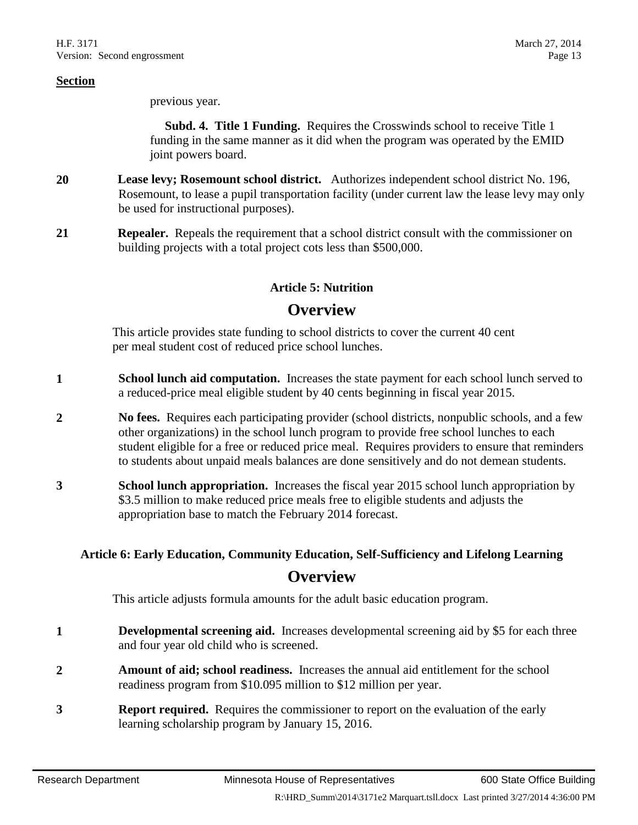previous year.

 **Subd. 4. Title 1 Funding.** Requires the Crosswinds school to receive Title 1 funding in the same manner as it did when the program was operated by the EMID joint powers board.

- **20 Lease levy; Rosemount school district.** Authorizes independent school district No. 196, Rosemount, to lease a pupil transportation facility (under current law the lease levy may only be used for instructional purposes).
- **21 Repealer.** Repeals the requirement that a school district consult with the commissioner on building projects with a total project cots less than \$500,000.

#### **Article 5: Nutrition**

# **Overview**

This article provides state funding to school districts to cover the current 40 cent per meal student cost of reduced price school lunches.

- **1 School lunch aid computation.** Increases the state payment for each school lunch served to a reduced-price meal eligible student by 40 cents beginning in fiscal year 2015.
- **2 No fees.** Requires each participating provider (school districts, nonpublic schools, and a few other organizations) in the school lunch program to provide free school lunches to each student eligible for a free or reduced price meal. Requires providers to ensure that reminders to students about unpaid meals balances are done sensitively and do not demean students.
- **3 School lunch appropriation.** Increases the fiscal year 2015 school lunch appropriation by \$3.5 million to make reduced price meals free to eligible students and adjusts the appropriation base to match the February 2014 forecast.

# **Article 6: Early Education, Community Education, Self-Sufficiency and Lifelong Learning Overview**

This article adjusts formula amounts for the adult basic education program.

- **1 Developmental screening aid.** Increases developmental screening aid by \$5 for each three and four year old child who is screened.
- **2 Amount of aid; school readiness.** Increases the annual aid entitlement for the school readiness program from \$10.095 million to \$12 million per year.
- **3 Report required.** Requires the commissioner to report on the evaluation of the early learning scholarship program by January 15, 2016.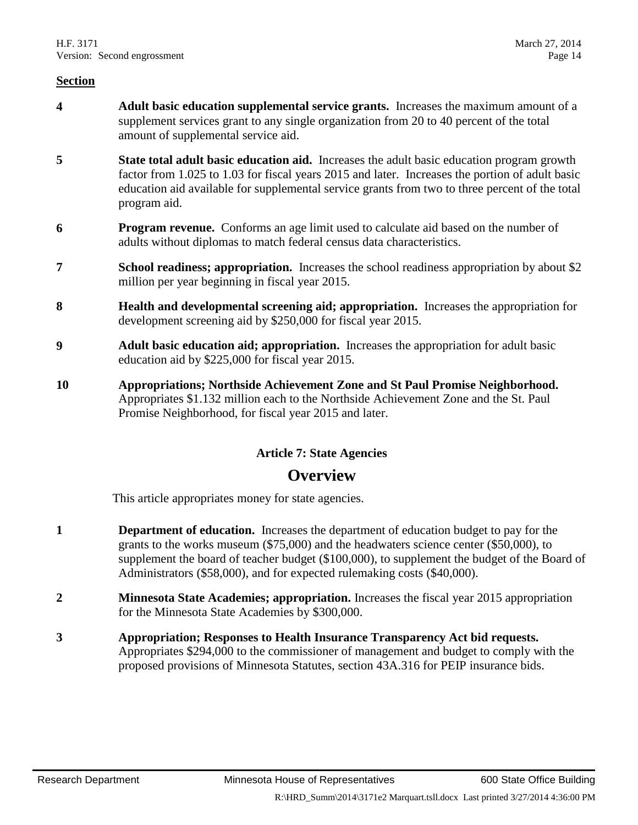- **4 Adult basic education supplemental service grants.** Increases the maximum amount of a supplement services grant to any single organization from 20 to 40 percent of the total amount of supplemental service aid.
- **5 State total adult basic education aid.** Increases the adult basic education program growth factor from 1.025 to 1.03 for fiscal years 2015 and later. Increases the portion of adult basic education aid available for supplemental service grants from two to three percent of the total program aid.
- **6 Program revenue.** Conforms an age limit used to calculate aid based on the number of adults without diplomas to match federal census data characteristics.
- **7 School readiness; appropriation.** Increases the school readiness appropriation by about \$2 million per year beginning in fiscal year 2015.
- **8 Health and developmental screening aid; appropriation.** Increases the appropriation for development screening aid by \$250,000 for fiscal year 2015.
- **9 Adult basic education aid; appropriation.** Increases the appropriation for adult basic education aid by \$225,000 for fiscal year 2015.
- **10 Appropriations; Northside Achievement Zone and St Paul Promise Neighborhood.** Appropriates \$1.132 million each to the Northside Achievement Zone and the St. Paul Promise Neighborhood, for fiscal year 2015 and later.

#### **Article 7: State Agencies**

# **Overview**

This article appropriates money for state agencies.

- **1 Department of education.** Increases the department of education budget to pay for the grants to the works museum (\$75,000) and the headwaters science center (\$50,000), to supplement the board of teacher budget (\$100,000), to supplement the budget of the Board of Administrators (\$58,000), and for expected rulemaking costs (\$40,000).
- **2 Minnesota State Academies; appropriation.** Increases the fiscal year 2015 appropriation for the Minnesota State Academies by \$300,000.
- **3 Appropriation; Responses to Health Insurance Transparency Act bid requests.**  Appropriates \$294,000 to the commissioner of management and budget to comply with the proposed provisions of Minnesota Statutes, section 43A.316 for PEIP insurance bids.